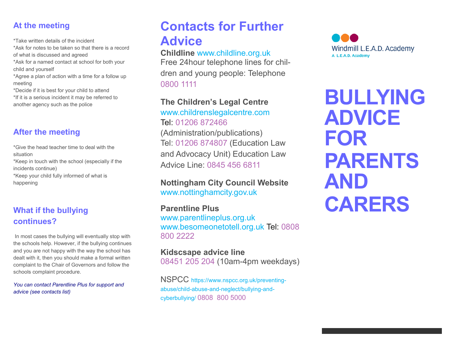### **At the meeting**

\*Take written details of the incident

\*Ask for notes to be taken so that there is a record of what is discussed and agreed

\*Ask for a named contact at school for both your child and yourself

\*Agree a plan of action with a time for a follow up meeting

\*Decide if it is best for your child to attend \*If it is a serious incident it may be referred to another agency such as the police

# **After the meeting**

\*Give the head teacher time to deal with the situation

\*Keep in touch with the school (especially if the incidents continue) \*Keep your child fully informed of what is

happening

## **What if the bullying continues?**

In most cases the bullying will eventually stop with the schools help. However, if the bullying continues and you are not happy with the way the school has dealt with it, then you should make a formal written complaint to the Chair of Governors and follow the schools complaint procedure.

*You can contact Parentline Plus for support and advice (see contacts list)*

# **Contacts for Further Advice**

### **Childline** www.childline.org.uk

Free 24hour telephone lines for children and young people: Telephone 0800 1111

**The Children's Legal Centre** 

www.childrenslegalcentre.com Tel: 01206 872466 (Administration/publications) Tel: 01206 874807 (Education Law and Advocacy Unit) Education Law Advice Line: 0845 456 6811

### **Nottingham City Council Website**  www.nottinghamcity.gov.uk

### **Parentline Plus**

www.parentlineplus.org.uk www.besomeonetotell.org.uk Tel: 0808 800 2222

### **Kidscsape advice line**  08451 205 204 (10am-4pm weekdays)

NSPCC https://www.nspcc.org.uk/preventingabuse/child-abuse-and-neglect/bullying-andcyberbullying/ 0808 800 5000



**BULLYING ADVICE FOR PARENTS AND CARERS**